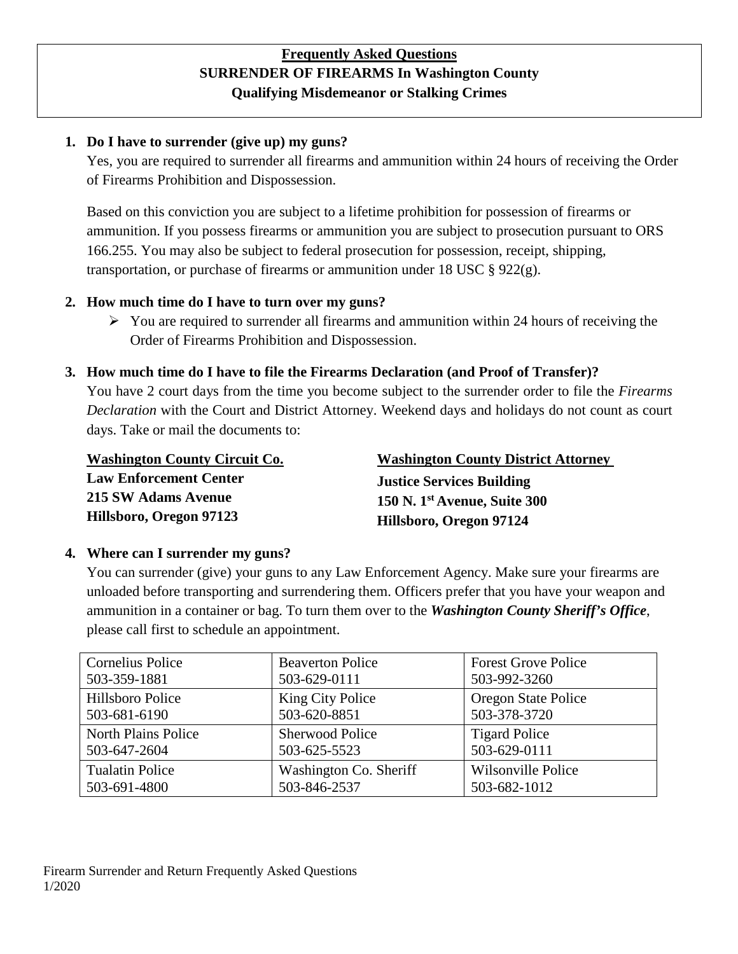## **Frequently Asked Questions SURRENDER OF FIREARMS In Washington County Qualifying Misdemeanor or Stalking Crimes**

#### **1. Do I have to surrender (give up) my guns?**

Yes, you are required to surrender all firearms and ammunition within 24 hours of receiving the Order of Firearms Prohibition and Dispossession.

Based on this conviction you are subject to a lifetime prohibition for possession of firearms or ammunition. If you possess firearms or ammunition you are subject to prosecution pursuant to ORS 166.255. You may also be subject to federal prosecution for possession, receipt, shipping, transportation, or purchase of firearms or ammunition under 18 USC  $\S 922(g)$ .

#### **2. How much time do I have to turn over my guns?**

 $\triangleright$  You are required to surrender all firearms and ammunition within 24 hours of receiving the Order of Firearms Prohibition and Dispossession.

#### **3. How much time do I have to file the Firearms Declaration (and Proof of Transfer)?**

You have 2 court days from the time you become subject to the surrender order to file the *Firearms Declaration* with the Court and District Attorney. Weekend days and holidays do not count as court days. Take or mail the documents to:

**Washington County Circuit Co. Law Enforcement Center 215 SW Adams Avenue Hillsboro, Oregon 97123** 

**Washington County District Attorney Justice Services Building 150 N. 1st Avenue, Suite 300 Hillsboro, Oregon 97124**

### **4. Where can I surrender my guns?**

You can surrender (give) your guns to any Law Enforcement Agency. Make sure your firearms are unloaded before transporting and surrendering them. Officers prefer that you have your weapon and ammunition in a container or bag. To turn them over to the *Washington County Sheriff's Office*, please call first to schedule an appointment.

| <b>Cornelius Police</b>    | <b>Beaverton Police</b> | <b>Forest Grove Police</b> |
|----------------------------|-------------------------|----------------------------|
| 503-359-1881               | 503-629-0111            | 503-992-3260               |
| Hillsboro Police           | King City Police        | Oregon State Police        |
| 503-681-6190               | 503-620-8851            | 503-378-3720               |
| <b>North Plains Police</b> | <b>Sherwood Police</b>  | <b>Tigard Police</b>       |
| 503-647-2604               | 503-625-5523            | 503-629-0111               |
| <b>Tualatin Police</b>     | Washington Co. Sheriff  | Wilsonville Police         |
| 503-691-4800               | 503-846-2537            | 503-682-1012               |